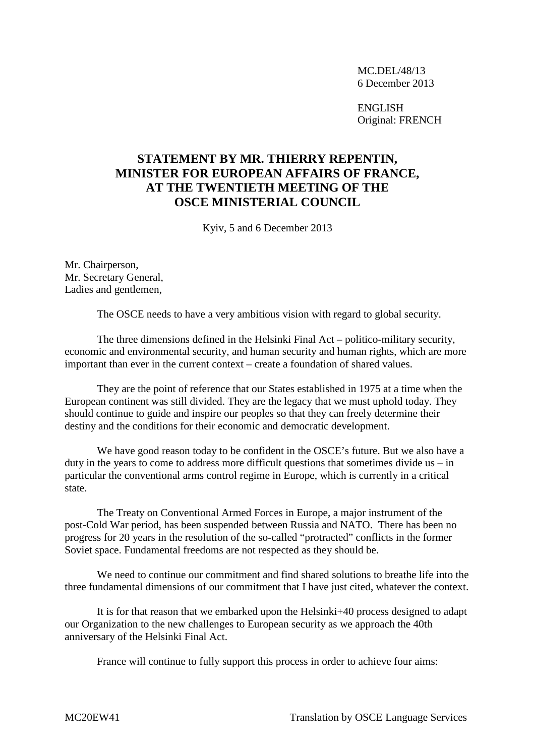MC.DEL/48/13 6 December 2013

ENGLISH Original: FRENCH

## **STATEMENT BY MR. THIERRY REPENTIN, MINISTER FOR EUROPEAN AFFAIRS OF FRANCE, AT THE TWENTIETH MEETING OF THE OSCE MINISTERIAL COUNCIL**

Kyiv, 5 and 6 December 2013

Mr. Chairperson, Mr. Secretary General, Ladies and gentlemen,

The OSCE needs to have a very ambitious vision with regard to global security.

The three dimensions defined in the Helsinki Final Act – politico-military security, economic and environmental security, and human security and human rights, which are more important than ever in the current context – create a foundation of shared values.

They are the point of reference that our States established in 1975 at a time when the European continent was still divided. They are the legacy that we must uphold today. They should continue to guide and inspire our peoples so that they can freely determine their destiny and the conditions for their economic and democratic development.

We have good reason today to be confident in the OSCE's future. But we also have a duty in the years to come to address more difficult questions that sometimes divide us – in particular the conventional arms control regime in Europe, which is currently in a critical state.

The Treaty on Conventional Armed Forces in Europe, a major instrument of the post-Cold War period, has been suspended between Russia and NATO. There has been no progress for 20 years in the resolution of the so-called "protracted" conflicts in the former Soviet space. Fundamental freedoms are not respected as they should be.

We need to continue our commitment and find shared solutions to breathe life into the three fundamental dimensions of our commitment that I have just cited, whatever the context.

It is for that reason that we embarked upon the Helsinki+40 process designed to adapt our Organization to the new challenges to European security as we approach the 40th anniversary of the Helsinki Final Act.

France will continue to fully support this process in order to achieve four aims: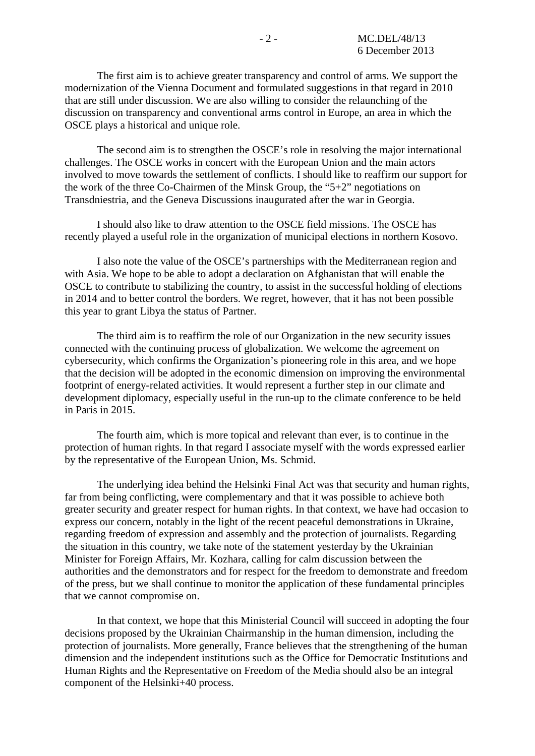The first aim is to achieve greater transparency and control of arms. We support the modernization of the Vienna Document and formulated suggestions in that regard in 2010 that are still under discussion. We are also willing to consider the relaunching of the discussion on transparency and conventional arms control in Europe, an area in which the OSCE plays a historical and unique role.

The second aim is to strengthen the OSCE's role in resolving the major international challenges. The OSCE works in concert with the European Union and the main actors involved to move towards the settlement of conflicts. I should like to reaffirm our support for the work of the three Co-Chairmen of the Minsk Group, the "5+2" negotiations on Transdniestria, and the Geneva Discussions inaugurated after the war in Georgia.

I should also like to draw attention to the OSCE field missions. The OSCE has recently played a useful role in the organization of municipal elections in northern Kosovo.

I also note the value of the OSCE's partnerships with the Mediterranean region and with Asia. We hope to be able to adopt a declaration on Afghanistan that will enable the OSCE to contribute to stabilizing the country, to assist in the successful holding of elections in 2014 and to better control the borders. We regret, however, that it has not been possible this year to grant Libya the status of Partner.

The third aim is to reaffirm the role of our Organization in the new security issues connected with the continuing process of globalization. We welcome the agreement on cybersecurity, which confirms the Organization's pioneering role in this area, and we hope that the decision will be adopted in the economic dimension on improving the environmental footprint of energy-related activities. It would represent a further step in our climate and development diplomacy, especially useful in the run-up to the climate conference to be held in Paris in 2015.

The fourth aim, which is more topical and relevant than ever, is to continue in the protection of human rights. In that regard I associate myself with the words expressed earlier by the representative of the European Union, Ms. Schmid.

The underlying idea behind the Helsinki Final Act was that security and human rights, far from being conflicting, were complementary and that it was possible to achieve both greater security and greater respect for human rights. In that context, we have had occasion to express our concern, notably in the light of the recent peaceful demonstrations in Ukraine, regarding freedom of expression and assembly and the protection of journalists. Regarding the situation in this country, we take note of the statement yesterday by the Ukrainian Minister for Foreign Affairs, Mr. Kozhara, calling for calm discussion between the authorities and the demonstrators and for respect for the freedom to demonstrate and freedom of the press, but we shall continue to monitor the application of these fundamental principles that we cannot compromise on.

In that context, we hope that this Ministerial Council will succeed in adopting the four decisions proposed by the Ukrainian Chairmanship in the human dimension, including the protection of journalists. More generally, France believes that the strengthening of the human dimension and the independent institutions such as the Office for Democratic Institutions and Human Rights and the Representative on Freedom of the Media should also be an integral component of the Helsinki+40 process.